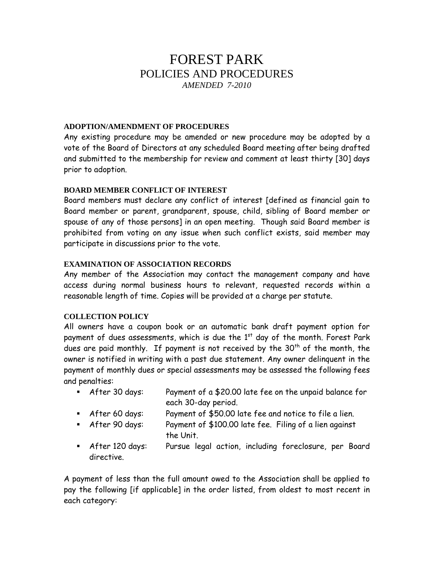# FOREST PARK POLICIES AND PROCEDURES *AMENDED 7-2010*

## **ADOPTION/AMENDMENT OF PROCEDURES**

Any existing procedure may be amended or new procedure may be adopted by a vote of the Board of Directors at any scheduled Board meeting after being drafted and submitted to the membership for review and comment at least thirty [30] days prior to adoption.

## **BOARD MEMBER CONFLICT OF INTEREST**

Board members must declare any conflict of interest [defined as financial gain to Board member or parent, grandparent, spouse, child, sibling of Board member or spouse of any of those persons] in an open meeting. Though said Board member is prohibited from voting on any issue when such conflict exists, said member may participate in discussions prior to the vote.

## **EXAMINATION OF ASSOCIATION RECORDS**

Any member of the Association may contact the management company and have access during normal business hours to relevant, requested records within a reasonable length of time. Copies will be provided at a charge per statute.

#### **COLLECTION POLICY**

All owners have a coupon book or an automatic bank draft payment option for payment of dues assessments, which is due the  $1<sup>st</sup>$  day of the month. Forest Park dues are paid monthly. If payment is not received by the  $30<sup>th</sup>$  of the month, the owner is notified in writing with a past due statement. Any owner delinquent in the payment of monthly dues or special assessments may be assessed the following fees and penalties:

- After 30 days: Payment of a \$20.00 late fee on the unpaid balance for each 30-day period.
- After 60 days: Payment of \$50.00 late fee and notice to file a lien.
- After 90 days: Payment of \$100.00 late fee. Filing of a lien against the Unit.
- After 120 days: Pursue legal action, including foreclosure, per Board directive.

A payment of less than the full amount owed to the Association shall be applied to pay the following [if applicable] in the order listed, from oldest to most recent in each category: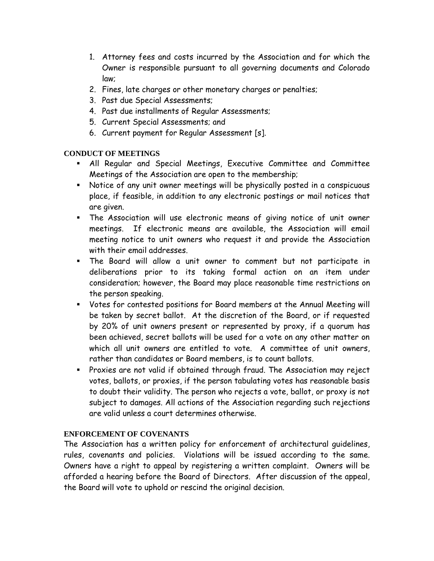- 1. Attorney fees and costs incurred by the Association and for which the Owner is responsible pursuant to all governing documents and Colorado law;
- 2. Fines, late charges or other monetary charges or penalties;
- 3. Past due Special Assessments;
- 4. Past due installments of Regular Assessments;
- 5. Current Special Assessments; and
- 6. Current payment for Regular Assessment [s].

# **CONDUCT OF MEETINGS**

- All Regular and Special Meetings, Executive Committee and Committee Meetings of the Association are open to the membership;
- Notice of any unit owner meetings will be physically posted in a conspicuous place, if feasible, in addition to any electronic postings or mail notices that are given.
- The Association will use electronic means of giving notice of unit owner meetings. If electronic means are available, the Association will email meeting notice to unit owners who request it and provide the Association with their email addresses.
- The Board will allow a unit owner to comment but not participate in deliberations prior to its taking formal action on an item under consideration; however, the Board may place reasonable time restrictions on the person speaking.
- Votes for contested positions for Board members at the Annual Meeting will be taken by secret ballot. At the discretion of the Board, or if requested by 20% of unit owners present or represented by proxy, if a quorum has been achieved, secret ballots will be used for a vote on any other matter on which all unit owners are entitled to vote. A committee of unit owners, rather than candidates or Board members, is to count ballots.
- **Proxies are not valid if obtained through fraud. The Association may reject** votes, ballots, or proxies, if the person tabulating votes has reasonable basis to doubt their validity. The person who rejects a vote, ballot, or proxy is not subject to damages. All actions of the Association regarding such rejections are valid unless a court determines otherwise.

# **ENFORCEMENT OF COVENANTS**

The Association has a written policy for enforcement of architectural guidelines, rules, covenants and policies. Violations will be issued according to the same. Owners have a right to appeal by registering a written complaint. Owners will be afforded a hearing before the Board of Directors. After discussion of the appeal, the Board will vote to uphold or rescind the original decision.